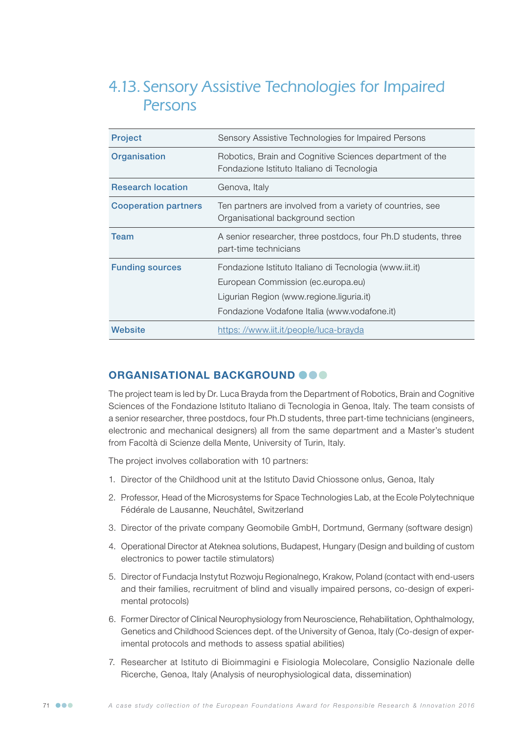# 4.13. Sensory Assistive Technologies for Impaired Persons

| <b>Project</b>              | Sensory Assistive Technologies for Impaired Persons                                                                                                                                       |
|-----------------------------|-------------------------------------------------------------------------------------------------------------------------------------------------------------------------------------------|
| Organisation                | Robotics, Brain and Cognitive Sciences department of the<br>Fondazione Istituto Italiano di Tecnologia                                                                                    |
| <b>Research location</b>    | Genova, Italy                                                                                                                                                                             |
| <b>Cooperation partners</b> | Ten partners are involved from a variety of countries, see<br>Organisational background section                                                                                           |
| <b>Team</b>                 | A senior researcher, three postdocs, four Ph.D students, three<br>part-time technicians                                                                                                   |
| <b>Funding sources</b>      | Fondazione Istituto Italiano di Tecnologia (www.iit.it)<br>European Commission (ec.europa.eu)<br>Ligurian Region (www.regione.liguria.it)<br>Fondazione Vodafone Italia (www.vodafone.it) |
| Website                     | https://www.iit.it/people/luca-brayda                                                                                                                                                     |

### ORGANISATIONAL BACKGROUND @ @ @

The project team is led by Dr. Luca Brayda from the Department of Robotics, Brain and Cognitive Sciences of the Fondazione Istituto Italiano di Tecnologia in Genoa, Italy. The team consists of a senior researcher, three postdocs, four Ph.D students, three part-time technicians (engineers, electronic and mechanical designers) all from the same department and a Master's student from Facoltà di Scienze della Mente, University of Turin, Italy.

The project involves collaboration with 10 partners:

- 1. Director of the Childhood unit at the Istituto David Chiossone onlus, Genoa, Italy
- 2. Professor, Head of the Microsystems for Space Technologies Lab, at the Ecole Polytechnique Fédérale de Lausanne, Neuchâtel, Switzerland
- 3. Director of the private company Geomobile GmbH, Dortmund, Germany (software design)
- 4. Operational Director at Ateknea solutions, Budapest, Hungary (Design and building of custom electronics to power tactile stimulators)
- 5. Director of Fundacja Instytut Rozwoju Regionalnego, Krakow, Poland (contact with end-users and their families, recruitment of blind and visually impaired persons, co-design of experimental protocols)
- 6. Former Director of Clinical Neurophysiology from Neuroscience, Rehabilitation, Ophthalmology, Genetics and Childhood Sciences dept. of the University of Genoa, Italy (Co-design of experimental protocols and methods to assess spatial abilities)
- 7. Researcher at Istituto di Bioimmagini e Fisiologia Molecolare, Consiglio Nazionale delle Ricerche, Genoa, Italy (Analysis of neurophysiological data, dissemination)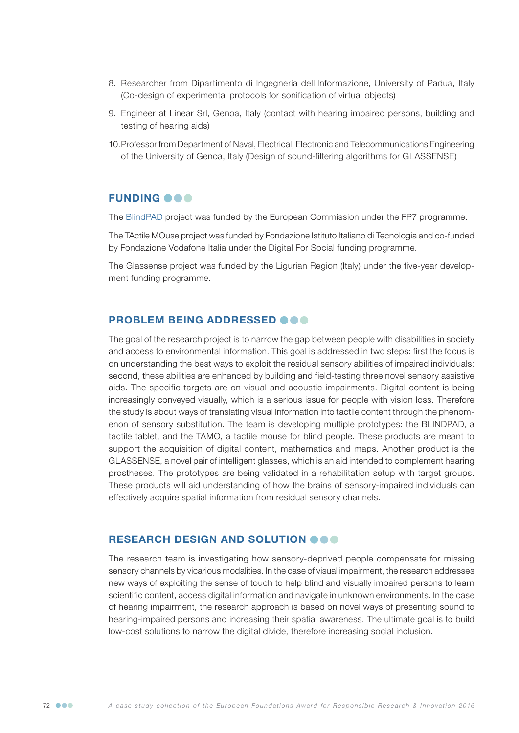- 8. Researcher from Dipartimento di Ingegneria dell'Informazione, University of Padua, Italy (Co-design of experimental protocols for sonification of virtual objects)
- 9. Engineer at Linear Srl, Genoa, Italy (contact with hearing impaired persons, building and testing of hearing aids)
- 10.Professor from Department of Naval, Electrical, Electronic and Telecommunications Engineering of the University of Genoa, Italy (Design of sound-filtering algorithms for GLASSENSE)

#### **FUNDING OOO**

The [BlindPAD](http://www.blindpad.eu) project was funded by the European Commission under the FP7 programme.

The TActile MOuse project was funded by Fondazione Istituto Italiano di Tecnologia and co-funded by Fondazione Vodafone Italia under the Digital For Social funding programme.

The Glassense project was funded by the Ligurian Region (Italy) under the five-year development funding programme.

#### PROBLEM BEING ADDRESSED @@@

The goal of the research project is to narrow the gap between people with disabilities in society and access to environmental information. This goal is addressed in two steps: first the focus is on understanding the best ways to exploit the residual sensory abilities of impaired individuals; second, these abilities are enhanced by building and field-testing three novel sensory assistive aids. The specific targets are on visual and acoustic impairments. Digital content is being increasingly conveyed visually, which is a serious issue for people with vision loss. Therefore the study is about ways of translating visual information into tactile content through the phenomenon of sensory substitution. The team is developing multiple prototypes: the BLINDPAD, a tactile tablet, and the TAMO, a tactile mouse for blind people. These products are meant to support the acquisition of digital content, mathematics and maps. Another product is the GLASSENSE, a novel pair of intelligent glasses, which is an aid intended to complement hearing prostheses. The prototypes are being validated in a rehabilitation setup with target groups. These products will aid understanding of how the brains of sensory-impaired individuals can effectively acquire spatial information from residual sensory channels.

#### RESEARCH DESIGN AND SOLUTION OOO

The research team is investigating how sensory-deprived people compensate for missing sensory channels by vicarious modalities. In the case of visual impairment, the research addresses new ways of exploiting the sense of touch to help blind and visually impaired persons to learn scientific content, access digital information and navigate in unknown environments. In the case of hearing impairment, the research approach is based on novel ways of presenting sound to hearing-impaired persons and increasing their spatial awareness. The ultimate goal is to build low-cost solutions to narrow the digital divide, therefore increasing social inclusion.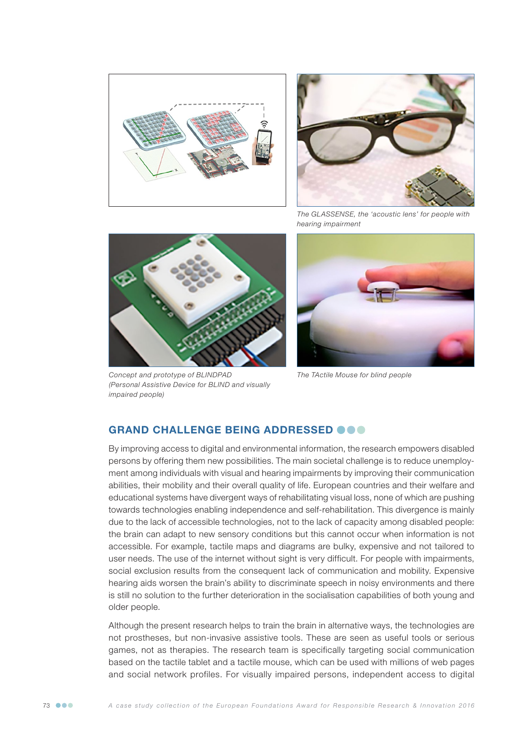



*The GLASSENSE, the 'acoustic lens' for people with hearing impairment*



*Concept and prototype of BLINDPAD (Personal Assistive Device for BLIND and visually impaired people)*



*The TActile Mouse for blind people*

## GRAND CHALLENGE BEING ADDRESSED @@@

By improving access to digital and environmental information, the research empowers disabled persons by offering them new possibilities. The main societal challenge is to reduce unemployment among individuals with visual and hearing impairments by improving their communication abilities, their mobility and their overall quality of life. European countries and their welfare and educational systems have divergent ways of rehabilitating visual loss, none of which are pushing towards technologies enabling independence and self-rehabilitation. This divergence is mainly due to the lack of accessible technologies, not to the lack of capacity among disabled people: the brain can adapt to new sensory conditions but this cannot occur when information is not accessible. For example, tactile maps and diagrams are bulky, expensive and not tailored to user needs. The use of the internet without sight is very difficult. For people with impairments, social exclusion results from the consequent lack of communication and mobility. Expensive hearing aids worsen the brain's ability to discriminate speech in noisy environments and there is still no solution to the further deterioration in the socialisation capabilities of both young and older people.

Although the present research helps to train the brain in alternative ways, the technologies are not prostheses, but non-invasive assistive tools. These are seen as useful tools or serious games, not as therapies. The research team is specifically targeting social communication based on the tactile tablet and a tactile mouse, which can be used with millions of web pages and social network profiles. For visually impaired persons, independent access to digital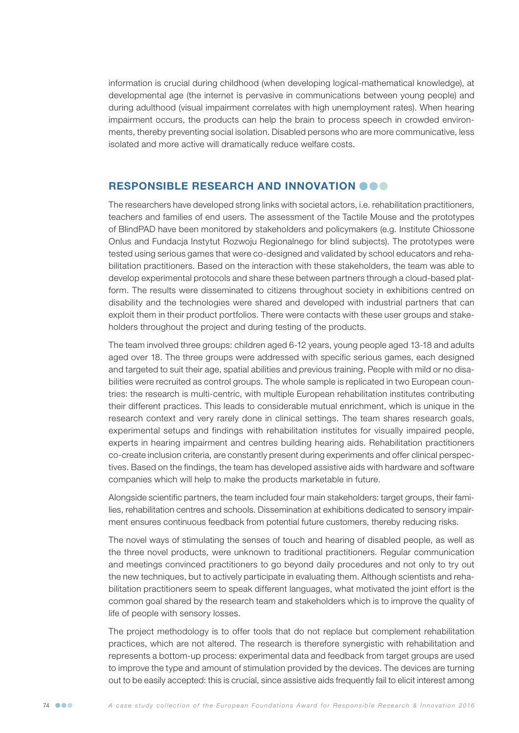information is crucial during childhood (when developing logical-mathematical knowledge), at developmental age (the internet is pervasive in communications between young people) and during adulthood (visual impairment correlates with high unemployment rates). When hearing impairment occurs, the products can help the brain to process speech in crowded environments, thereby preventing social isolation. Disabled persons who are more communicative, less isolated and more active will dramatically reduce welfare costs.

#### RESPONSIBLE RESEARCH AND INNOVATION **@@@**

The researchers have developed strong links with societal actors, i.e. rehabilitation practitioners, teachers and families of end users. The assessment of the Tactile Mouse and the prototypes of BlindPAD have been monitored by stakeholders and policymakers (e.g. Institute Chiossone Onlus and Fundacja Instytut Rozwoju Regionalnego for blind subjects). The prototypes were tested using serious games that were co-designed and validated by school educators and rehabilitation practitioners. Based on the interaction with these stakeholders, the team was able to develop experimental protocols and share these between partners through a cloud-based platform. The results were disseminated to citizens throughout society in exhibitions centred on disability and the technologies were shared and developed with industrial partners that can exploit them in their product portfolios. There were contacts with these user groups and stakeholders throughout the project and during testing of the products.

The team involved three groups: children aged 6-12 years, young people aged 13-18 and adults aged over 18. The three groups were addressed with specific serious games, each designed and targeted to suit their age, spatial abilities and previous training. People with mild or no disabilities were recruited as control groups. The whole sample is replicated in two European countries: the research is multi-centric, with multiple European rehabilitation institutes contributing their different practices. This leads to considerable mutual enrichment, which is unique in the research context and very rarely done in clinical settings. The team shares research goals, experimental setups and findings with rehabilitation institutes for visually impaired people, experts in hearing impairment and centres building hearing aids. Rehabilitation practitioners co-create inclusion criteria, are constantly present during experiments and offer clinical perspectives. Based on the findings, the team has developed assistive aids with hardware and software companies which will help to make the products marketable in future.

Alongside scientific partners, the team included four main stakeholders: target groups, their families, rehabilitation centres and schools. Dissemination at exhibitions dedicated to sensory impairment ensures continuous feedback from potential future customers, thereby reducing risks.

The novel ways of stimulating the senses of touch and hearing of disabled people, as well as the three novel products, were unknown to traditional practitioners. Regular communication and meetings convinced practitioners to go beyond daily procedures and not only to try out the new techniques, but to actively participate in evaluating them. Although scientists and rehabilitation practitioners seem to speak different languages, what motivated the joint effort is the common goal shared by the research team and stakeholders which is to improve the quality of life of people with sensory losses.

The project methodology is to offer tools that do not replace but complement rehabilitation practices, which are not altered. The research is therefore synergistic with rehabilitation and represents a bottom-up process: experimental data and feedback from target groups are used to improve the type and amount of stimulation provided by the devices. The devices are turning out to be easily accepted: this is crucial, since assistive aids frequently fail to elicit interest among